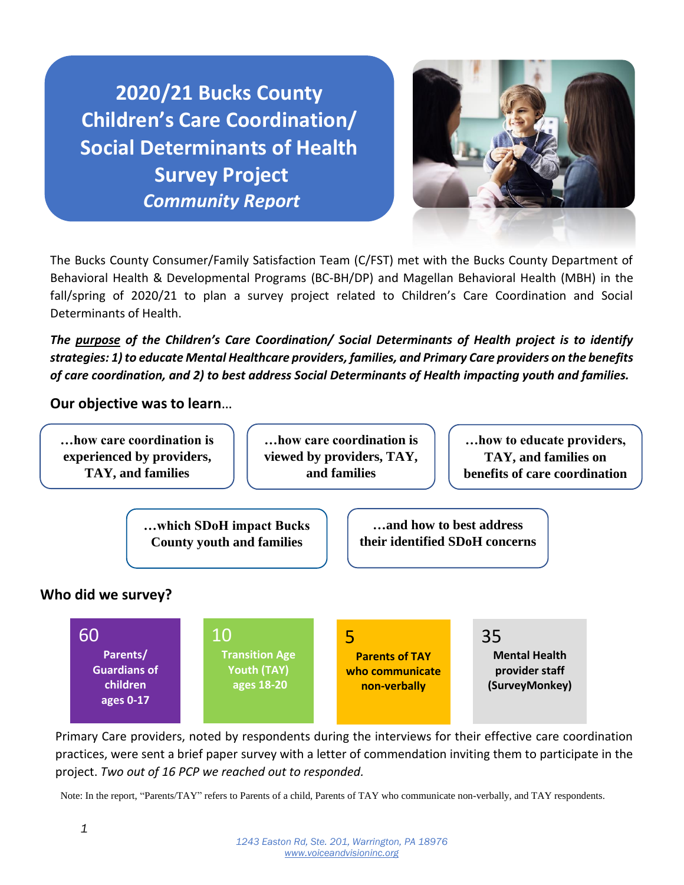**2020/21 Bucks County Children's Care Coordination/ Social Determinants of Health Survey Project**  *Community Report*



The Bucks County Consumer/Family Satisfaction Team (C/FST) met with the Bucks County Department of Behavioral Health & Developmental Programs (BC-BH/DP) and Magellan Behavioral Health (MBH) in the fall/spring of 2020/21 to plan a survey project related to Children's Care Coordination and Social Determinants of Health.

*The purpose of the Children's Care Coordination/ Social Determinants of Health project is to identify strategies: 1) to educate Mental Healthcare providers, families, and Primary Care providers on the benefits of care coordination, and 2) to best address Social Determinants of Health impacting youth and families.*

**Our objective was to learn**…

**…how care coordination is experienced by providers, TAY, and families**

**…how care coordination is viewed by providers, TAY, and families** 

**…how to educate providers, TAY, and families on benefits of care coordination**

**…which SDoH impact Bucks County youth and families**

**…and how to best address their identified SDoH concerns** 

### **Who did we survey?**

60 **Parents/ Guardians of children ages 0-17** 10 **Transition Age Youth (TAY) ages 18-20** 5 **Parents of TAY who communicate non-verbally** 35 **Mental Health provider staff (SurveyMonkey)**

Primary Care providers, noted by respondents during the interviews for their effective care coordination practices, were sent a brief paper survey with a letter of commendation inviting them to participate in the project. *Two out of 16 PCP we reached out to responded.*

Note: In the report, "Parents/TAY" refers to Parents of a child, Parents of TAY who communicate non-verbally, and TAY respondents.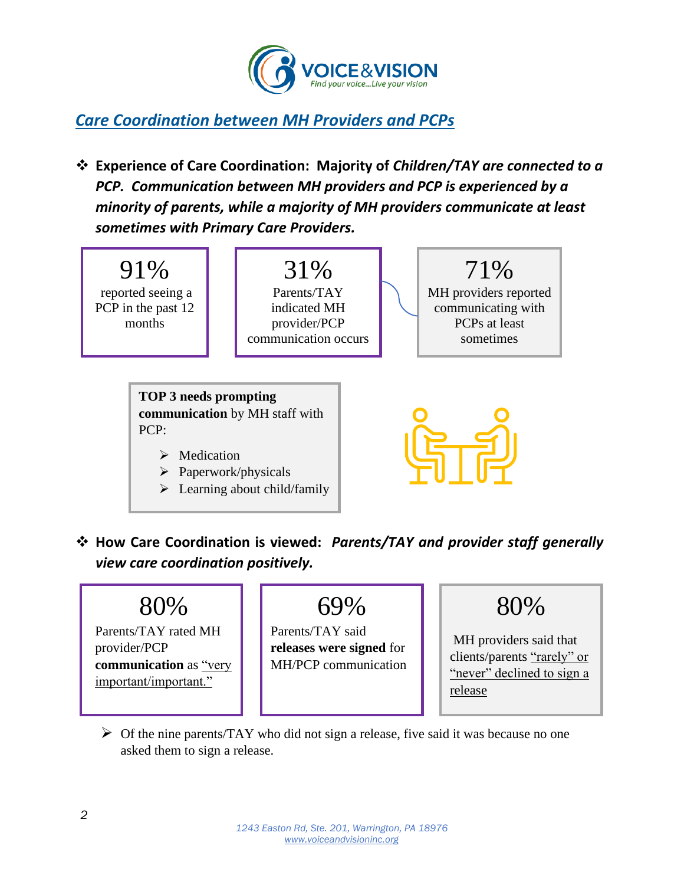

## *Care Coordination between MH Providers and PCPs*

❖ **Experience of Care Coordination: Majority of** *Children/TAY are connected to a PCP. Communication between MH providers and PCP is experienced by a minority of parents, while a majority of MH providers communicate at least sometimes with Primary Care Providers.*



❖ **How Care Coordination is viewed:** *Parents/TAY and provider staff generally view care coordination positively.*



Parents/TAY rated MH provider/PCP **communication** as "very important/important."

# 69%

Parents/TAY said **releases were signed** for MH/PCP communication



MH providers said that clients/parents "rarely" or "never" declined to sign a release

 $\triangleright$  Of the nine parents/TAY who did not sign a release, five said it was because no one asked them to sign a release.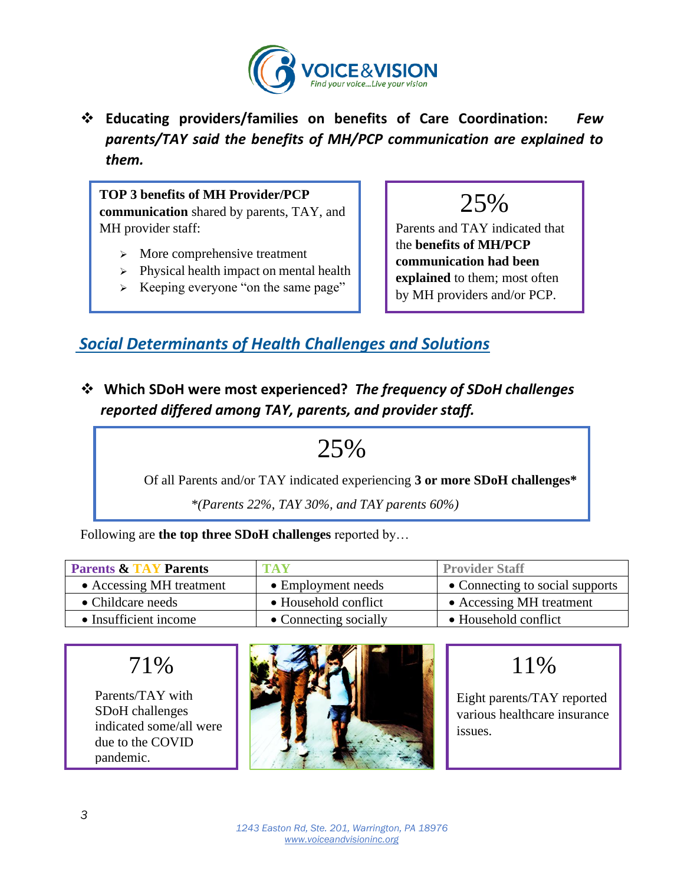

❖ **Educating providers/families on benefits of Care Coordination:** *Few parents/TAY said the benefits of MH/PCP communication are explained to them.*

**TOP 3 benefits of MH Provider/PCP communication** shared by parents, TAY, and MH provider staff:

- ➢ More comprehensive treatment
- ➢ Physical health impact on mental health
- ➢ Keeping everyone "on the same page"

25%

Parents and TAY indicated that the **benefits of MH/PCP communication had been explained** to them; most often by MH providers and/or PCP.

## *Social Determinants of Health Challenges and Solutions*

❖ **Which SDoH were most experienced?** *The frequency of SDoH challenges reported differed among TAY, parents, and provider staff.*

# 25%

Of all Parents and/or TAY indicated experiencing **3 or more SDoH challenges\***

 *\*(Parents 22%, TAY 30%, and TAY parents 60%)*

Following are **the top three SDoH challenges** reported by…

| <b>Parents &amp; TAY Parents</b> | <b>TAV</b>            | <b>Provider Staff</b>           |
|----------------------------------|-----------------------|---------------------------------|
| • Accessing MH treatment         | • Employment needs    | • Connecting to social supports |
| • Childcare needs                | • Household conflict  | • Accessing MH treatment        |
| • Insufficient income            | • Connecting socially | • Household conflict            |

## 71%

Parents/TAY with SDoH challenges indicated some/all were due to the COVID pandemic.



## 11%

Eight parents/TAY reported various healthcare insurance issues.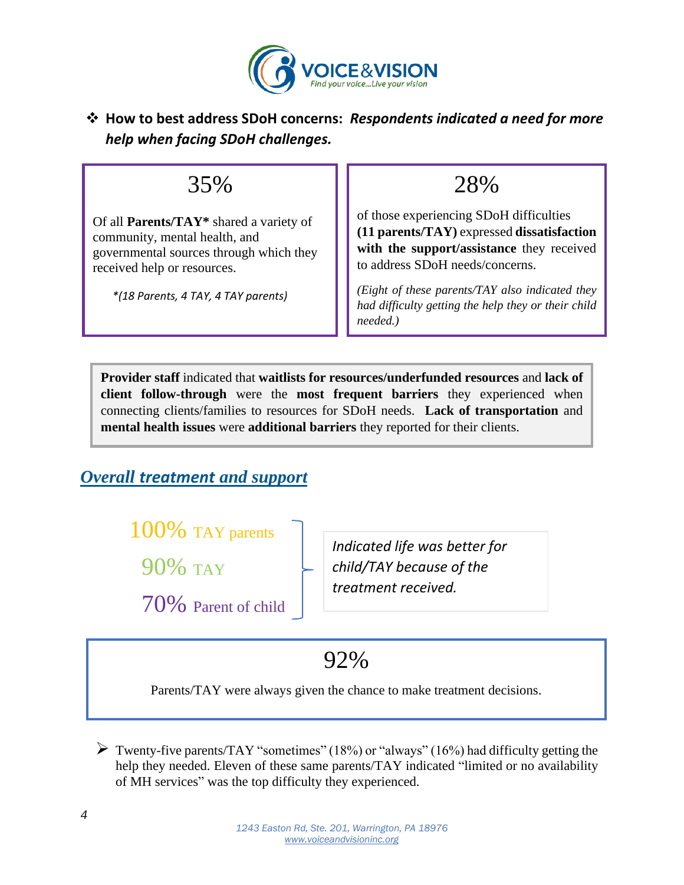

### ❖ **How to best address SDoH concerns:** *Respondents indicated a need for more help when facing SDoH challenges.*

## 35%

Of all **Parents/TAY\*** shared a variety of community, mental health, and governmental sources through which they received help or resources.

 *\*(18 Parents, 4 TAY, 4 TAY parents)*

28%

of those experiencing SDoH difficulties **(11 parents/TAY)** expressed **dissatisfaction with the support/assistance** they received to address SDoH needs/concerns.

*(Eight of these parents/TAY also indicated they had difficulty getting the help they or their child needed.)*

**Provider staff** indicated that **waitlists for resources/underfunded resources** and **lack of client follow-through** were the **most frequent barriers** they experienced when connecting clients/families to resources for SDoH needs. **Lack of transportation** and **mental health issues** were **additional barriers** they reported for their clients.

## *Overall treatment and support*

100% TAY parents

90% TAY

70% Parent of child

*Indicated life was better for child/TAY because of the treatment received.*

92%

Parents/TAY were always given the chance to make treatment decisions.

 $\triangleright$  Twenty-five parents/TAY "sometimes" (18%) or "always" (16%) had difficulty getting the help they needed. Eleven of these same parents/TAY indicated "limited or no availability of MH services" was the top difficulty they experienced.